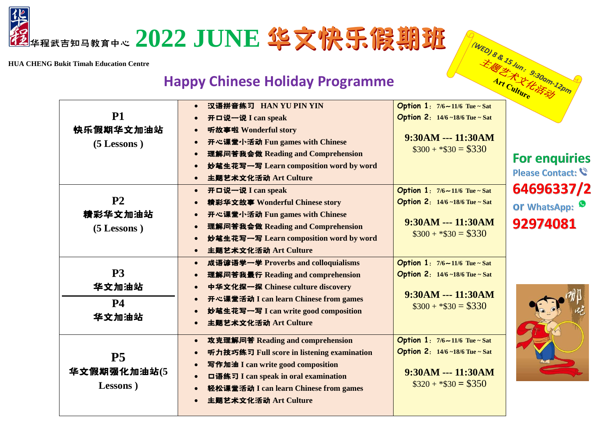

**HUA CHENG Bukit Timah Education Centre**

## **Happy Chinese Holiday Programme**

|                                               | <b>Happy Chinese Holiday Programme</b>                                                                                                                                                                                                                                                    |                                                                                                                                             | (WED) 8 & 15 Jun: 9:30am-12pm            |
|-----------------------------------------------|-------------------------------------------------------------------------------------------------------------------------------------------------------------------------------------------------------------------------------------------------------------------------------------------|---------------------------------------------------------------------------------------------------------------------------------------------|------------------------------------------|
| <b>P1</b><br>快乐假期华文加油站<br>$(5$ Lessons)       | 汉语拼音练习 HAN YU PIN YIN<br>$\bullet$<br>开口说一说 I can speak<br>听故事啦 Wonderful story<br>$\bullet$<br>开心课堂小活动 Fun games with Chinese<br>$\bullet$<br>理解问答我会做 Reading and Comprehension<br>$\bullet$<br>妙笔生花写一写 Learn composition word by word<br>$\bullet$<br>主题艺术文化活动 Art Culture<br>$\bullet$ | <b>Option 1:</b> $7/6 \sim 11/6$ Tue ~ Sat<br><b>Option 2:</b> $14/6 - 18/6$ Tue $\sim$ Sat<br>9:30AM --- 11:30AM<br>$\$300 + \$30 = \$330$ | <b>For enquiries</b><br>Please Contact:  |
| P <sub>2</sub><br>精彩华文加油站<br>(5 Lessons)      | 开口说一说 I can speak<br>$\bullet$<br>精彩华文故事 Wonderful Chinese story<br>$\bullet$<br>开心课堂小活动 Fun games with Chinese<br>$\bullet$<br>理解问答我会做 Reading and Comprehension<br>$\bullet$<br>妙笔生花写一写 Learn composition word by word<br>$\bullet$<br>主题艺术文化活动 Art Culture<br>$\bullet$                | Option $1: 7/6 \sim 11/6$ Tue ~ Sat<br><b>Option 2:</b> $14/6 - 18/6$ Tue ~ Sat<br>9:30AM --- 11:30AM<br>$\$300 + \$30 = \$330$             | 64696337/2<br>Or WhatsApp: 9<br>92974081 |
| P <sub>3</sub><br>华文加油站<br><b>P4</b><br>华文加油站 | 成语谚语学一学 Proverbs and colloquialisms<br>$\bullet$<br>理解问答我最行 Reading and comprehension<br>$\bullet$<br>中华文化探一探 Chinese culture discovery<br>$\bullet$<br>开心课堂活动 I can learn Chinese from games<br>$\bullet$<br>妙笔生花写一写 I can write good composition<br>$\bullet$<br>主题艺术文化活动 Art Culture   | <b>Option 1:</b> $7/6 \sim 11/6$ Tue ~ Sat<br>Option 2: 14/6~18/6 Tue~Sat<br>9:30AM --- 11:30AM<br>$\$300 + \$30 = \$330$                   |                                          |
| P <sub>5</sub><br>华文假期强化加油站(5<br>Lessons)     | 攻克理解问答 Reading and comprehension<br>$\bullet$<br>听力技巧练习 Full score in listening examination<br>写作加油 I can write good composition<br>$\bullet$<br>口语练习 I can speak in oral examination<br>$\bullet$<br>轻松课堂活动 I can learn Chinese from games<br>主题艺术文化活动 Art Culture                       | Option $1: 7/6 \sim 11/6$ Tue ~ Sat<br><b>Option 2:</b> $14/6 \sim 18/6$ Tue $\sim$ Sat<br>$9:30AM -- 11:30AM$<br>$\$320 + \$30 = \$350$    |                                          |